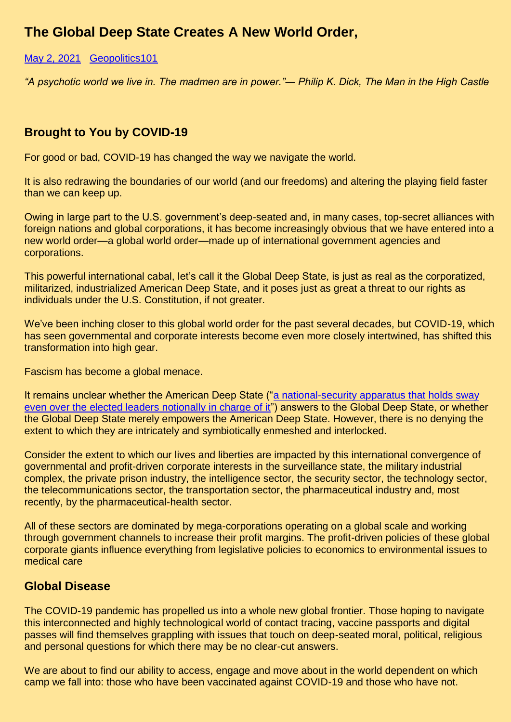# **The Global Deep State Creates A New World Order,**

#### [May 2, 2021](https://geopolitics.co/2021/05/02/the-global-deep-state-a-new-world-order-brought-to-you-by-covid-19/) Geopolitics101

*"A psychotic world we live in. The madmen are in power."― Philip K. Dick, The Man in the High Castle*

### **Brought to You by COVID-19**

For good or bad, COVID-19 has changed the way we navigate the world.

It is also redrawing the boundaries of our world (and our freedoms) and altering the playing field faster than we can keep up.

Owing in large part to the U.S. government's deep-seated and, in many cases, top-secret alliances with foreign nations and global corporations, it has become increasingly obvious that we have entered into a new world order—a global world order—made up of international government agencies and corporations.

This powerful international cabal, let's call it the Global Deep State, is just as real as the corporatized, militarized, industrialized American Deep State, and it poses just as great a threat to our rights as individuals under the U.S. Constitution, if not greater.

We've been inching closer to this global world order for the past several decades, but COVID-19, which has seen governmental and corporate interests become even more closely intertwined, has shifted this transformation into high gear.

Fascism has become a global menace.

It remains unclear whether the American Deep State (["a national-security apparatus that holds sway](https://www.politico.com/magazine/story/2017/09/05/deep-state-real-cia-fbi-intelligence-215537)  [even over the elected leaders notionally in charge of it"](https://www.politico.com/magazine/story/2017/09/05/deep-state-real-cia-fbi-intelligence-215537)) answers to the Global Deep State, or whether the Global Deep State merely empowers the American Deep State. However, there is no denying the extent to which they are intricately and symbiotically enmeshed and interlocked.

Consider the extent to which our lives and liberties are impacted by this international convergence of governmental and profit-driven corporate interests in the surveillance state, the military industrial complex, the private prison industry, the intelligence sector, the security sector, the technology sector, the telecommunications sector, the transportation sector, the pharmaceutical industry and, most recently, by the pharmaceutical-health sector.

All of these sectors are dominated by mega-corporations operating on a global scale and working through government channels to increase their profit margins. The profit-driven policies of these global corporate giants influence everything from legislative policies to economics to environmental issues to medical care

#### **Global Disease**

The COVID-19 pandemic has propelled us into a whole new global frontier. Those hoping to navigate this interconnected and highly technological world of contact tracing, vaccine passports and digital passes will find themselves grappling with issues that touch on deep-seated moral, political, religious and personal questions for which there may be no clear-cut answers.

We are about to find our ability to access, engage and move about in the world dependent on which camp we fall into: those who have been vaccinated against COVID-19 and those who have not.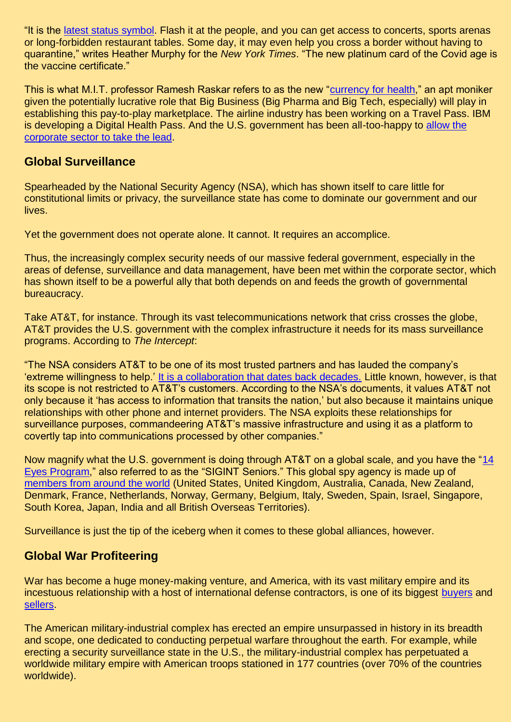"It is the [latest status symbol.](https://www.nytimes.com/2021/04/26/travel/vaccine-passport-cards-apps.html) Flash it at the people, and you can get access to concerts, sports arenas or long-forbidden restaurant tables. Some day, it may even help you cross a border without having to quarantine," writes Heather Murphy for the *New York Times*. "The new platinum card of the Covid age is the vaccine certificate."

This is what M.I.T. professor Ramesh Raskar refers to as the new ["currency for health,](https://www.nytimes.com/2021/04/26/travel/vaccine-passport-cards-apps.html)" an apt moniker given the potentially lucrative role that Big Business (Big Pharma and Big Tech, especially) will play in establishing this pay-to-play marketplace. The airline industry has been working on a Travel Pass. IBM is developing a Digital Health Pass. And the U.S. government has been all-too-happy to [allow the](file://///Users/nishawhitehead10/Desktop/TRI/JW%20Columns/allow%20the%20corporate%20sector%20to%20take%20the%20lead)  [corporate sector to take the lead.](file://///Users/nishawhitehead10/Desktop/TRI/JW%20Columns/allow%20the%20corporate%20sector%20to%20take%20the%20lead)

## **Global Surveillance**

Spearheaded by the National Security Agency (NSA), which has shown itself to care little for constitutional limits or privacy, the surveillance state has come to dominate our government and our lives.

Yet the government does not operate alone. It cannot. It requires an accomplice.

Thus, the increasingly complex security needs of our massive federal government, especially in the areas of defense, surveillance and data management, have been met within the corporate sector, which has shown itself to be a powerful ally that both depends on and feeds the growth of governmental bureaucracy.

Take AT&T, for instance. Through its vast telecommunications network that criss crosses the globe, AT&T provides the U.S. government with the complex infrastructure it needs for its mass surveillance programs. According to *The Intercept*:

"The NSA considers AT&T to be one of its most trusted partners and has lauded the company's 'extreme willingness to help.' [It is a collaboration that dates back decades.](https://theintercept.com/2018/06/25/att-internet-nsa-spy-hubs/) Little known, however, is that its scope is not restricted to AT&T's customers. According to the NSA's documents, it values AT&T not only because it 'has access to information that transits the nation,' but also because it maintains unique relationships with other phone and internet providers. The NSA exploits these relationships for surveillance purposes, commandeering AT&T's massive infrastructure and using it as a platform to covertly tap into communications processed by other companies."

Now magnify what the U.S. government is doing through AT&T on a global scale, and you have the ["14](https://theintercept.com/2018/03/01/nsa-global-surveillance-sigint-seniors/)  [Eyes Program,](https://theintercept.com/2018/03/01/nsa-global-surveillance-sigint-seniors/)" also referred to as the "SIGINT Seniors." This global spy agency is made up of [members from around the world](https://restoreprivacy.com/5-eyes-9-eyes-14-eyes/) (United States, United Kingdom, Australia, Canada, New Zealand, Denmark, France, Netherlands, Norway, Germany, Belgium, Italy, Sweden, Spain, Israel, Singapore, South Korea, Japan, India and all British Overseas Territories).

Surveillance is just the tip of the iceberg when it comes to these global alliances, however.

# **Global War Profiteering**

War has become a huge money-making venture, and America, with its vast military empire and its incestuous relationship with a host of international defense contractors, is one of its biggest [buyers](https://en.wikipedia.org/wiki/Arms_industry#World.27s_largest_defense_budgets) and [sellers.](https://en.wikipedia.org/wiki/Arms_industry#World.27s_largest_arms_exporters)

The American military-industrial complex has erected an empire unsurpassed in history in its breadth and scope, one dedicated to conducting perpetual warfare throughout the earth. For example, while erecting a security surveillance state in the U.S., the military-industrial complex has perpetuated a worldwide military empire with American troops stationed in 177 countries (over 70% of the countries worldwide).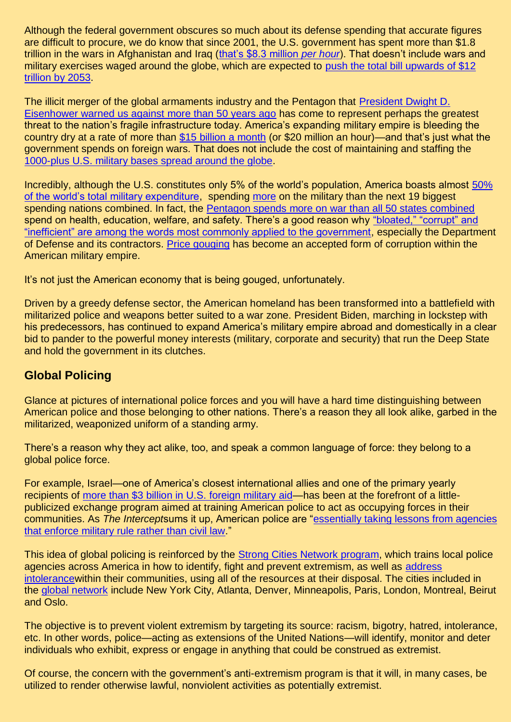Although the federal government obscures so much about its defense spending that accurate figures are difficult to procure, we do know that since 2001, the U.S. government has spent more than \$1.8 trillion in the wars in Afghanistan and Iraq [\(that's \\$8.3 million](https://www.nationalpriorities.org/cost-of/) *per hour*). That doesn't include wars and military exercises waged around the globe, which are expected to [push the total bill upwards of \\$12](https://www.forbes.com/sites/realspin/2017/02/01/american-taxpayers-must-be-told-the-real-cost-of-war/#40e7d47e5246)  [trillion by 2053.](https://www.forbes.com/sites/realspin/2017/02/01/american-taxpayers-must-be-told-the-real-cost-of-war/#40e7d47e5246)

The illicit merger of the global armaments industry and the Pentagon that [President Dwight D.](https://harpers.org/blog/2007/11/eisenhower-on-the-opportunity-cost-of-defense-spending/)  [Eisenhower warned us against more than 50 years ago](https://harpers.org/blog/2007/11/eisenhower-on-the-opportunity-cost-of-defense-spending/) has come to represent perhaps the greatest threat to the nation's fragile infrastructure today. America's expanding military empire is bleeding the country dry at a rate of more than [\\$15 billion a month](https://www.washingtonpost.com/wp-dyn/content/article/2007/12/26/AR2007122601542_pf.html) (or \$20 million an hour)—and that's just what the government spends on foreign wars. That does not include the cost of maintaining and staffing the [1000-plus U.S. military bases spread around the globe.](https://www.thenation.com/article/the-us-has-military-bases-in-172-countries-all-of-them-must-close/)

Incredibly, although the U.S. constitutes only 5% of the world's population, America boasts almost [50%](http://www.businessinsider.com/facts-about-defense-spending-2010-11?op=1#ixzz1RdbaVmHm)  [of the world's total military expenditure,](http://www.businessinsider.com/facts-about-defense-spending-2010-11?op=1#ixzz1RdbaVmHm) spending [more](https://www.telegraph.co.uk/news/uknews/defence/8002911/Defence-spending-the-worlds-biggest-armies-in-stats.html) on the military than the next 19 biggest spending nations combined. In fact, the [Pentagon spends more on war than all 50 states combined](http://www.businessinsider.com/facts-about-defense-spending-2010-11?op=1#ixzz1RdbaVmHm) spend on health, education, welfare, and safety. There's a good reason why "bloated," "corrupt" and ["inefficient" are among the words most commonly applied to the government,](https://www.nytimes.com/2011/04/03/opinion/03sun3.html) especially the Department of Defense and its contractors. [Price gouging](https://thinkprogress.org/security/2011/06/28/256216/boeing-price-gouging-army/) has become an accepted form of corruption within the American military empire.

It's not just the American economy that is being gouged, unfortunately.

Driven by a greedy defense sector, the American homeland has been transformed into a battlefield with militarized police and weapons better suited to a war zone. President Biden, marching in lockstep with his predecessors, has continued to expand America's military empire abroad and domestically in a clear bid to pander to the powerful money interests (military, corporate and security) that run the Deep State and hold the government in its clutches.

# **Global Policing**

Glance at pictures of international police forces and you will have a hard time distinguishing between American police and those belonging to other nations. There's a reason they all look alike, garbed in the militarized, weaponized uniform of a standing army.

There's a reason why they act alike, too, and speak a common language of force: they belong to a global police force.

For example, Israel—one of America's closest international allies and one of the primary yearly recipients of [more than \\$3 billion in U.S. foreign military aid—](https://www.cnn.com/2015/11/11/politics/us-foreign-aid-report/index.html)has been at the forefront of a littlepublicized exchange program aimed at training American police to act as occupying forces in their communities. As *The Intercept*sums it up, American police are ["essentially taking lessons from agencies](https://theintercept.com/2017/09/15/police-israel-cops-training-adl-human-rights-abuses-dc-washington/)  [that enforce military rule rather than civil law.](https://theintercept.com/2017/09/15/police-israel-cops-training-adl-human-rights-abuses-dc-washington/)"

This idea of global policing is reinforced by the [Strong Cities Network program,](http://www.abajournal.com/news/article/strong_cities_network_will_foster_collaboration_to_fight_violent_extremism) which trains local police agencies across America in how to identify, fight and prevent extremism, as well as [address](http://www.abajournal.com/news/article/strong_cities_network_will_foster_collaboration_to_fight_violent_extremism)  [intolerancew](http://www.abajournal.com/news/article/strong_cities_network_will_foster_collaboration_to_fight_violent_extremism)ithin their communities, using all of the resources at their disposal. The cities included in the [global network](http://www.abajournal.com/news/article/strong_cities_network_will_foster_collaboration_to_fight_violent_extremism) include New York City, Atlanta, Denver, Minneapolis, Paris, London, Montreal, Beirut and Oslo.

The objective is to prevent violent extremism by targeting its source: racism, bigotry, hatred, intolerance, etc. In other words, police—acting as extensions of the United Nations—will identify, monitor and deter individuals who exhibit, express or engage in anything that could be construed as extremist.

Of course, the concern with the government's anti-extremism program is that it will, in many cases, be utilized to render otherwise lawful, nonviolent activities as potentially extremist.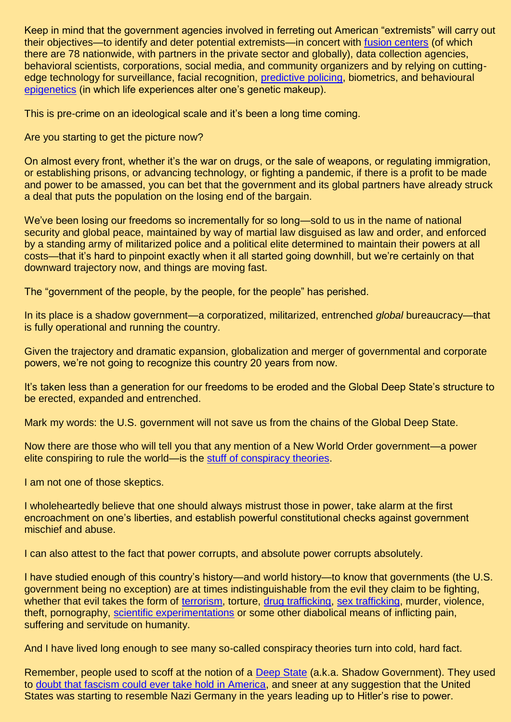Keep in mind that the government agencies involved in ferreting out American "extremists" will carry out their objectives—to identify and deter potential extremists—in concert with [fusion centers](http://www.govtech.com/public-safety/New-Partnership-to-Help-Fusion-Centers-Streamline-Intelligence-Gathering-Dissemination.html) (of which there are 78 nationwide, with partners in the private sector and globally), data collection agencies, behavioral scientists, corporations, social media, and community organizers and by relying on cuttingedge technology for surveillance, facial recognition, [predictive policing,](http://news.nationalpost.com/news/world/u-s-predictive-policing-program-uses-computer-analytics-to-pinpoint-those-most-likely-to-commit-crimes-before-they-happen) biometrics, and behavioural [epigenetics](http://discovermagazine.com/2013/may/13-grandmas-experiences-leave-epigenetic-mark-on-your-genes) (in which life experiences alter one's genetic makeup).

This is pre-crime on an ideological scale and it's been a long time coming.

Are you starting to get the picture now?

On almost every front, whether it's the war on drugs, or the sale of weapons, or regulating immigration, or establishing prisons, or advancing technology, or fighting a pandemic, if there is a profit to be made and power to be amassed, you can bet that the government and its global partners have already struck a deal that puts the population on the losing end of the bargain.

We've been losing our freedoms so incrementally for so long—sold to us in the name of national security and global peace, maintained by way of martial law disguised as law and order, and enforced by a standing army of militarized police and a political elite determined to maintain their powers at all costs—that it's hard to pinpoint exactly when it all started going downhill, but we're certainly on that downward trajectory now, and things are moving fast.

The "government of the people, by the people, for the people" has perished.

In its place is a shadow government—a corporatized, militarized, entrenched *global* bureaucracy—that is fully operational and running the country.

Given the trajectory and dramatic expansion, globalization and merger of governmental and corporate powers, we're not going to recognize this country 20 years from now.

It's taken less than a generation for our freedoms to be eroded and the Global Deep State's structure to be erected, expanded and entrenched.

Mark my words: the U.S. government will not save us from the chains of the Global Deep State.

Now there are those who will tell you that any mention of a New World Order government—a power elite conspiring to rule the world—is the [stuff of conspiracy theories.](https://nymag.com/news/features/conspiracy-theories/new-world-order/)

I am not one of those skeptics.

I wholeheartedly believe that one should always mistrust those in power, take alarm at the first encroachment on one's liberties, and establish powerful constitutional checks against government mischief and abuse.

I can also attest to the fact that power corrupts, and absolute power corrupts absolutely.

I have studied enough of this country's history—and world history—to know that governments (the U.S. government being no exception) are at times indistinguishable from the evil they claim to be fighting, whether that evil takes the form of [terrorism,](https://theintercept.com/2015/02/26/fbi-manufacture-plots-terrorism-isis-grave-threats/) torture, [drug trafficking,](http://www.sun-sentinel.com/news/interactive/sfl-cops-cash-cocaine-htmlstory.html) [sex trafficking,](http://www.dallasnews.com/news/crime/2017/01/17/fbi-ran-child-porn-site-catch-predators-now-accused-crying-foul) murder, violence, theft, pornography, [scientific experimentations](https://www.nbcnews.com/id/41811750/ns/health-health_care/t/ugly-past-us-human-experiments-uncovered/#.VzCAwBUrKRs) or some other diabolical means of inflicting pain, suffering and servitude on humanity.

And I have lived long enough to see many so-called conspiracy theories turn into cold, hard fact.

Remember, people used to scoff at the notion of a [Deep State](https://www.politico.com/magazine/story/2017/09/05/deep-state-real-cia-fbi-intelligence-215537) (a.k.a. Shadow Government). They used to [doubt that fascism could ever take hold in America,](https://www.politico.com/magazine/story/2018/03/01/no-fascism-cant-happen-here-217092) and sneer at any suggestion that the United States was starting to resemble Nazi Germany in the years leading up to Hitler's rise to power.